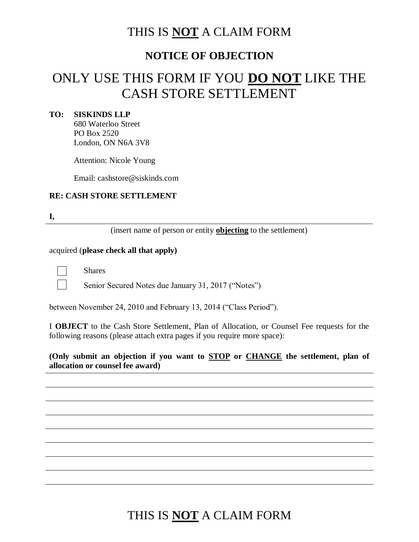### THIS IS **NOT** A CLAIM FORM

### **NOTICE OF OBJECTION**

# ONLY USE THIS FORM IF YOU **DO NOT** LIKE THE CASH STORE SETTLEMENT

#### **TO: SISKINDS LLP**

680 Waterloo Street PO Box 2520 London, ON N6A 3V8

Attention: Nicole Young

Email: cashstore@siskinds.com

#### **RE: CASH STORE SETTLEMENT**

**I,** 

(insert name of person or entity **objecting** to the settlement)

#### acquired (**please check all that apply)**

Shares

Senior Secured Notes due January 31, 2017 ("Notes")

between November 24, 2010 and February 13, 2014 ("Class Period").

I **OBJECT** to the Cash Store Settlement, Plan of Allocation, or Counsel Fee requests for the following reasons (please attach extra pages if you require more space):

**(Only submit an objection if you want to STOP or CHANGE the settlement, plan of allocation or counsel fee award)**

## THIS IS **NOT** A CLAIM FORM